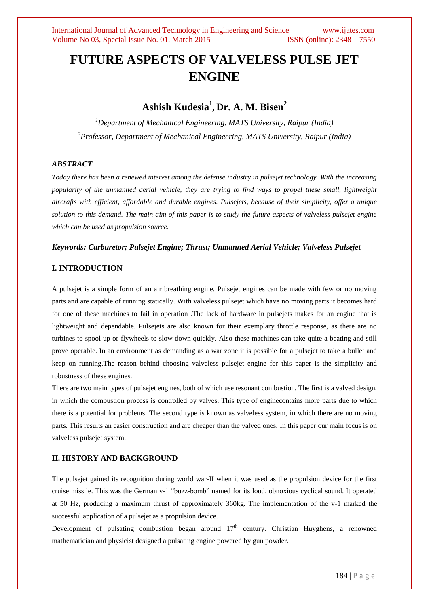# **FUTURE ASPECTS OF VALVELESS PULSE JET ENGINE**

# **Ashish Kudesia<sup>1</sup> , Dr. A. M. Bisen<sup>2</sup>**

*<sup>1</sup>Department of Mechanical Engineering, MATS University, Raipur (India) <sup>2</sup>Professor, Department of Mechanical Engineering, MATS University, Raipur (India)*

# *ABSTRACT*

*Today there has been a renewed interest among the defense industry in pulsejet technology. With the increasing popularity of the unmanned aerial vehicle, they are trying to find ways to propel these small, lightweight aircrafts with efficient, affordable and durable engines. Pulsejets, because of their simplicity, offer a unique solution to this demand. The main aim of this paper is to study the future aspects of valveless pulsejet engine which can be used as propulsion source.*

#### *Keywords: Carburetor; Pulsejet Engine; Thrust; Unmanned Aerial Vehicle; Valveless Pulsejet*

# **I. INTRODUCTION**

A pulsejet is a simple form of an air breathing engine. Pulsejet engines can be made with few or no moving parts and are capable of running statically. With valveless pulsejet which have no moving parts it becomes hard for one of these machines to fail in operation .The lack of hardware in pulsejets makes for an engine that is lightweight and dependable. Pulsejets are also known for their exemplary throttle response, as there are no turbines to spool up or flywheels to slow down quickly. Also these machines can take quite a beating and still prove operable. In an environment as demanding as a war zone it is possible for a pulsejet to take a bullet and keep on running.The reason behind choosing valveless pulsejet engine for this paper is the simplicity and robustness of these engines.

There are two main types of pulsejet engines, both of which use resonant combustion. The first is a valved design, in which the combustion process is controlled by valves. This type of enginecontains more parts due to which there is a potential for problems. The second type is known as valveless system, in which there are no moving parts. This results an easier construction and are cheaper than the valved ones. In this paper our main focus is on valveless pulsejet system.

#### **II. HISTORY AND BACKGROUND**

The pulsejet gained its recognition during world war-II when it was used as the propulsion device for the first cruise missile. This was the German v-1 "buzz-bomb" named for its loud, obnoxious cyclical sound. It operated at 50 Hz, producing a maximum thrust of approximately 360kg. The implementation of the v-1 marked the successful application of a pulsejet as a propulsion device.

Development of pulsating combustion began around  $17<sup>th</sup>$  century. Christian Huyghens, a renowned mathematician and physicist designed a pulsating engine powered by gun powder.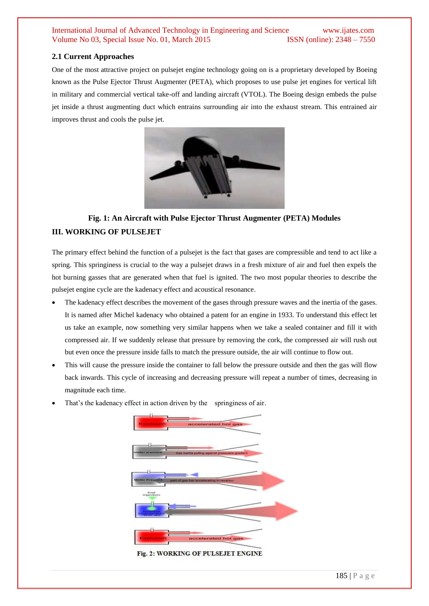# **2.1 Current Approaches**

One of the most attractive project on pulsejet engine technology going on is a proprietary developed by Boeing known as the Pulse Ejector Thrust Augmenter (PETA), which proposes to use pulse jet engines for vertical lift in military and commercial vertical take-off and landing aircraft (VTOL). The Boeing design embeds the pulse jet inside a thrust augmenting duct which entrains surrounding air into the exhaust stream. This entrained air improves thrust and cools the pulse jet.



# **Fig. 1: An Aircraft with Pulse Ejector Thrust Augmenter (PETA) Modules III. WORKING OF PULSEJET**

The primary effect behind the function of a pulsejet is the fact that gases are compressible and tend to act like a spring. This springiness is crucial to the way a pulsejet draws in a fresh mixture of air and fuel then expels the hot burning gasses that are generated when that fuel is ignited. The two most popular theories to describe the pulsejet engine cycle are the kadenacy effect and acoustical resonance.

- The kadenacy effect describes the movement of the gases through pressure waves and the inertia of the gases. It is named after Michel kadenacy who obtained a patent for an engine in 1933. To understand this effect let us take an example, now something very similar happens when we take a sealed container and fill it with compressed air. If we suddenly release that pressure by removing the cork, the compressed air will rush out but even once the pressure inside falls to match the pressure outside, the air will continue to flow out.
- This will cause the pressure inside the container to fall below the pressure outside and then the gas will flow back inwards. This cycle of increasing and decreasing pressure will repeat a number of times, decreasing in magnitude each time.
- That's the kadenacy effect in action driven by the springiness of air.



Fig. 2: WORKING OF PULSEJET ENGINE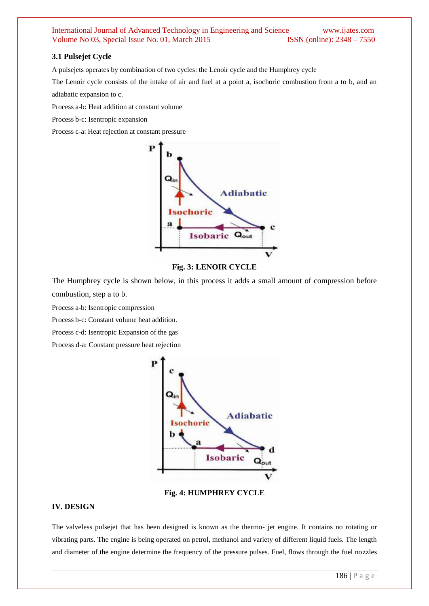# **3.1 Pulsejet Cycle**

A pulsejets operates by combination of two cycles: the Lenoir cycle and the Humphrey cycle

The Lenoir cycle consists of the intake of air and fuel at a point a, isochoric combustion from a to b, and an adiabatic expansion to c.

Process a-b: Heat addition at constant volume

Process b-c: Isentropic expansion

Process c-a: Heat rejection at constant pressure



# **Fig. 3: LENOIR CYCLE**

The Humphrey cycle is shown below, in this process it adds a small amount of compression before combustion, step a to b.

Process a-b: Isentropic compression

Process b-c: Constant volume heat addition.

Process c-d: Isentropic Expansion of the gas

Process d-a: Constant pressure heat rejection



**Fig. 4: HUMPHREY CYCLE**

# **IV. DESIGN**

The valveless pulsejet that has been designed is known as the thermo- jet engine. It contains no rotating or vibrating parts. The engine is being operated on petrol, methanol and variety of different liquid fuels. The length and diameter of the engine determine the frequency of the pressure pulses. Fuel, flows through the fuel nozzles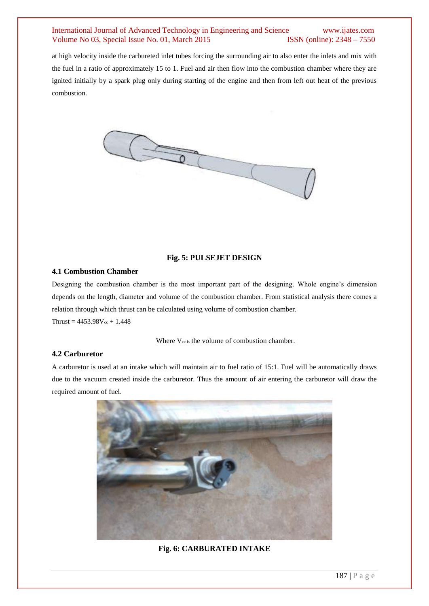# International Journal of Advanced Technology in Engineering and Science www.ijates.com Volume No 03, Special Issue No. 01, March 2015 **ISSN** (online): 2348 – 7550 Volume No 03, Special Issue No. 01, March 2015

at high velocity inside the carbureted inlet tubes forcing the surrounding air to also enter the inlets and mix with the fuel in a ratio of approximately 15 to 1. Fuel and air then flow into the combustion chamber where they are ignited initially by a spark plug only during starting of the engine and then from left out heat of the previous combustion.



# **Fig. 5: PULSEJET DESIGN**

#### **4.1 Combustion Chamber**

Designing the combustion chamber is the most important part of the designing. Whole engine's dimension depends on the length, diameter and volume of the combustion chamber. From statistical analysis there comes a relation through which thrust can be calculated using volume of combustion chamber.  $Thrust = 4453.98V_{cc} + 1.448$ 

Where  $V_{cc}$  is the volume of combustion chamber.

### **4.2 Carburetor**

A carburetor is used at an intake which will maintain air to fuel ratio of 15:1. Fuel will be automatically draws due to the vacuum created inside the carburetor. Thus the amount of air entering the carburetor will draw the required amount of fuel.



# **Fig. 6: CARBURATED INTAKE**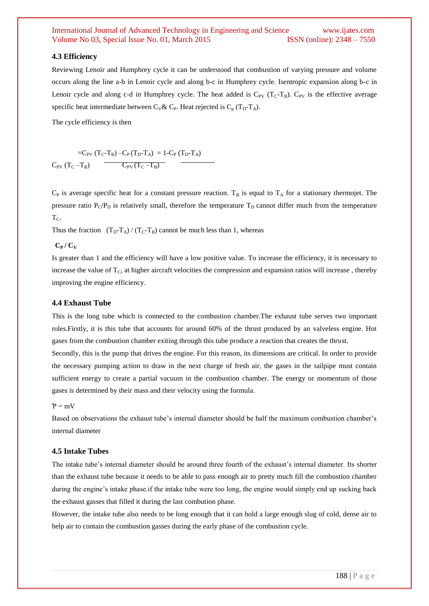#### **4.3 Efficiency**

Reviewing Lenoir and Humphrey cycle it can be understood that combustion of varying pressure and volume occurs along the line a-b in Lenoir cycle and along b-c in Humphrey cycle. Isentropic expansion along b-c in Lenoir cycle and along c-d in Humphrey cycle. The heat added is  $C_{PV}$  (T<sub>C</sub>-T<sub>B</sub>).  $C_{PV}$  is the effective average specific heat intermediate between  $C_V \& C_P$ . Heat rejected is  $C_p (T_D - T_A)$ .

The cycle efficiency is then

 $=C_{PV} (T_C-T_B) - C_P (T_D-T_A) = 1-C_P (T_D-T_A)$  $C_{PV} (T_C - T_B)$   $C_{PV} (T_C - T_B)$ 

 $C_P$  is average specific heat for a constant pressure reaction. T<sub>B</sub> is equal to T<sub>A</sub> for a stationary thermojet. The pressure ratio  $P_C/P_D$  is relatively small, therefore the temperature  $T_D$  cannot differ much from the temperature  $T_{C}$ .

Thus the fraction  $(T_D-T_A) / (T_C-T_B)$  cannot be much less than 1, whereas

#### $C_P / C_V$

Is greater than 1 and the efficiency will have a low positive value. To increase the efficiency, it is necessary to increase the value of  $T_c$ , at higher aircraft velocities the compression and expansion ratios will increase, thereby improving the engine efficiency.

### **4.4 Exhaust Tube**

This is the long tube which is connected to the combustion chamber.The exhaust tube serves two important roles.Firstly, it is this tube that accounts for around 60% of the thrust produced by an valveless engine. Hot gases from the combustion chamber exiting through this tube produce a reaction that creates the thrust.

Secondly, this is the pump that drives the engine. For this reason, its dimensions are critical. In order to provide the necessary pumping action to draw in the next charge of fresh air, the gases in the tailpipe must contain sufficient energy to create a partial vacuum in the combustion chamber. The energy or momentum of those gases is determined by their mass and their velocity using the formula.

#### $P = mV$

Based on observations the exhaust tube's internal diameter should be half the maximum combustion chamber's internal diameter

#### **4.5 Intake Tubes**

The intake tube's internal diameter should be around three fourth of the exhaust's internal diameter. Its shorter than the exhaust tube because it needs to be able to pass enough air to pretty much fill the combustion chamber during the engine's intake phase.if the intake tube were too long, the engine would simply end up sucking back the exhaust gasses that filled it during the last combution phase.

However, the intake tube also needs to be long enough that it can hold a large enough slug of cold, dense air to help air to contain the combustion gasses during the early phase of the combustion cycle.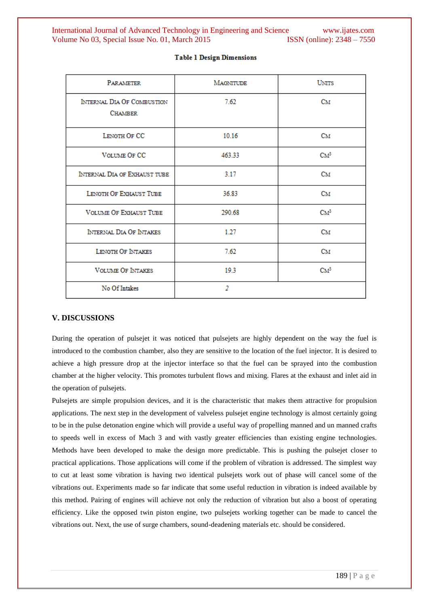| <b>PARAMETER</b>                             | <b>MAGNITUDE</b> | <b>UNITS</b>    |
|----------------------------------------------|------------------|-----------------|
| INTERNAL DIA OF COMBUSTION<br><b>CHAMBER</b> | 7.62             | Cм              |
| LENGTH OF CC                                 | 10.16            | Cм              |
| <b>VOLUME OF CC</b>                          | 463.33           | $\mathrm{CM}^3$ |
| INTERNAL DIA OF EXHAUST TUBE                 | 3.17             | Cм              |
| LENGTH OF EXHAUST TUBE                       | 36.83            | Cм              |
| <b>VOLUME OF EXHAUST TUBE</b>                | 290.68           | $\mathrm{CM}^3$ |
| INTERNAL DIA OF INTAKES                      | 1.27             | Cм              |
| LENGTH OF INTAKES                            | 7.62             | Cм              |
| <b>VOLUME OF INTAKES</b>                     | 19.3             | CM <sup>3</sup> |
| No Of Intakes                                | $\overline{2}$   |                 |

#### **Table 1 Design Dimensions**

#### **V. DISCUSSIONS**

During the operation of pulsejet it was noticed that pulsejets are highly dependent on the way the fuel is introduced to the combustion chamber, also they are sensitive to the location of the fuel injector. It is desired to achieve a high pressure drop at the injector interface so that the fuel can be sprayed into the combustion chamber at the higher velocity. This promotes turbulent flows and mixing. Flares at the exhaust and inlet aid in the operation of pulsejets.

Pulsejets are simple propulsion devices, and it is the characteristic that makes them attractive for propulsion applications. The next step in the development of valveless pulsejet engine technology is almost certainly going to be in the pulse detonation engine which will provide a useful way of propelling manned and un manned crafts to speeds well in excess of Mach 3 and with vastly greater efficiencies than existing engine technologies. Methods have been developed to make the design more predictable. This is pushing the pulsejet closer to practical applications. Those applications will come if the problem of vibration is addressed. The simplest way to cut at least some vibration is having two identical pulsejets work out of phase will cancel some of the vibrations out. Experiments made so far indicate that some useful reduction in vibration is indeed available by this method. Pairing of engines will achieve not only the reduction of vibration but also a boost of operating efficiency. Like the opposed twin piston engine, two pulsejets working together can be made to cancel the vibrations out. Next, the use of surge chambers, sound-deadening materials etc. should be considered.